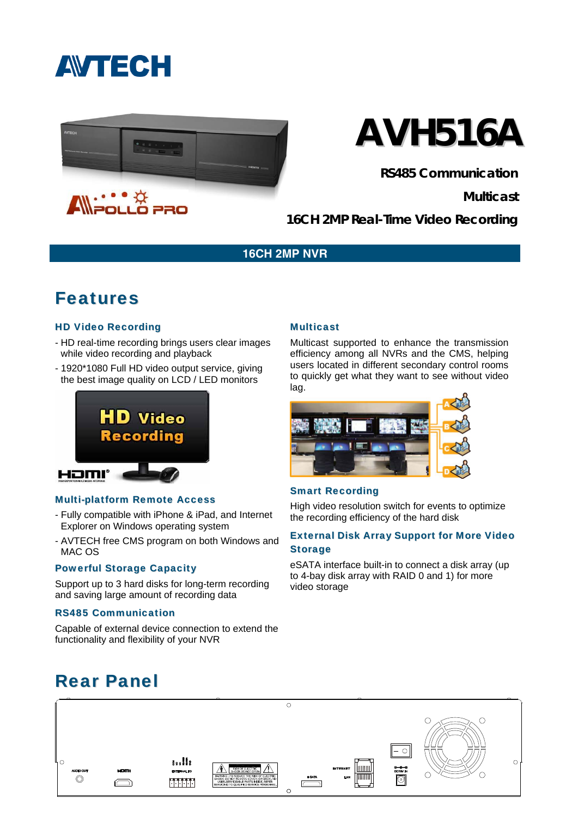



# **AVH516A**

**RS485 Communication** 

**Multicast** 

**16CH 2MP Real-Time Video Recording** 

#### **16CH 2MP NVR**

### Features

#### HD Video Recording

- HD real-time recording brings users clear images while video recording and playback
- 1920\*1080 Full HD video output service, giving the best image quality on LCD / LED monitors



#### Multi-platform Remote Access

- Fully compatible with iPhone & iPad, and Internet Explorer on Windows operating system
- AVTECH free CMS program on both Windows and MAC OS

#### Powerful Storage Capacity

Support up to 3 hard disks for long-term recording and saving large amount of recording data

#### RS485 Communication

Capable of external device connection to extend the functionality and flexibility of your NVR

#### **Multicast**

Multicast supported to enhance the transmission efficiency among all NVRs and the CMS, helping users located in different secondary control rooms to quickly get what they want to see without video lag.



#### Smart Recording

High video resolution switch for events to optimize the recording efficiency of the hard disk

#### External Disk Array Support for More Video **Storage**

eSATA interface built-in to connect a disk array (up to 4-bay disk array with RAID 0 and 1) for more video storage

## Rear Panel

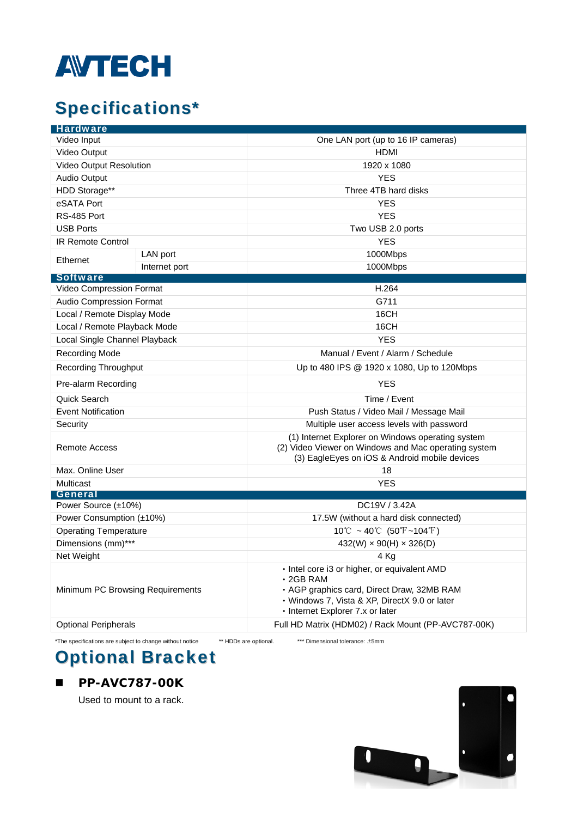

# Specifications\*

| Video Input<br>One LAN port (up to 16 IP cameras)<br>Video Output<br>HDMI<br>Video Output Resolution<br>1920 x 1080<br><b>Audio Output</b><br><b>YES</b><br>HDD Storage**<br>Three 4TB hard disks<br>eSATA Port<br><b>YES</b><br><b>YES</b><br>RS-485 Port<br><b>USB Ports</b><br>Two USB 2.0 ports<br><b>YES</b><br><b>IR Remote Control</b><br>LAN port<br>1000Mbps<br>Ethernet<br>1000Mbps<br>Internet port<br><b>Software</b><br>H.264<br>Video Compression Format<br>Audio Compression Format<br>G711<br>Local / Remote Display Mode<br>16CH<br>Local / Remote Playback Mode<br>16CH<br><b>YES</b><br>Local Single Channel Playback<br>Recording Mode<br>Manual / Event / Alarm / Schedule<br><b>Recording Throughput</b><br>Up to 480 IPS @ 1920 x 1080, Up to 120Mbps<br><b>YES</b><br>Pre-alarm Recording<br>Quick Search<br>Time / Event<br><b>Event Notification</b><br>Push Status / Video Mail / Message Mail<br>Multiple user access levels with password<br>Security<br>(1) Internet Explorer on Windows operating system<br>(2) Video Viewer on Windows and Mac operating system<br>Remote Access<br>(3) EagleEyes on iOS & Android mobile devices<br>Max. Online User<br>18<br>Multicast<br><b>YES</b><br>General<br>Power Source (±10%)<br>DC19V / 3.42A<br>Power Consumption (±10%)<br>17.5W (without a hard disk connected)<br>$10^{\circ}$ C ~ 40 $^{\circ}$ C (50 $^{\circ}$ F ~104 $^{\circ}$ F)<br><b>Operating Temperature</b><br>Dimensions (mm)***<br>$432(W) \times 90(H) \times 326(D)$<br>Net Weight<br>4 Kg<br>· Intel core i3 or higher, or equivalent AMD<br>$\cdot$ 2GB RAM<br>Minimum PC Browsing Requirements<br>· AGP graphics card, Direct Draw, 32MB RAM | <b>Hardware</b> |  |                                               |  |
|------------------------------------------------------------------------------------------------------------------------------------------------------------------------------------------------------------------------------------------------------------------------------------------------------------------------------------------------------------------------------------------------------------------------------------------------------------------------------------------------------------------------------------------------------------------------------------------------------------------------------------------------------------------------------------------------------------------------------------------------------------------------------------------------------------------------------------------------------------------------------------------------------------------------------------------------------------------------------------------------------------------------------------------------------------------------------------------------------------------------------------------------------------------------------------------------------------------------------------------------------------------------------------------------------------------------------------------------------------------------------------------------------------------------------------------------------------------------------------------------------------------------------------------------------------------------------------------------------------------------------------------------------------------------------------------------|-----------------|--|-----------------------------------------------|--|
|                                                                                                                                                                                                                                                                                                                                                                                                                                                                                                                                                                                                                                                                                                                                                                                                                                                                                                                                                                                                                                                                                                                                                                                                                                                                                                                                                                                                                                                                                                                                                                                                                                                                                                |                 |  |                                               |  |
|                                                                                                                                                                                                                                                                                                                                                                                                                                                                                                                                                                                                                                                                                                                                                                                                                                                                                                                                                                                                                                                                                                                                                                                                                                                                                                                                                                                                                                                                                                                                                                                                                                                                                                |                 |  |                                               |  |
|                                                                                                                                                                                                                                                                                                                                                                                                                                                                                                                                                                                                                                                                                                                                                                                                                                                                                                                                                                                                                                                                                                                                                                                                                                                                                                                                                                                                                                                                                                                                                                                                                                                                                                |                 |  |                                               |  |
|                                                                                                                                                                                                                                                                                                                                                                                                                                                                                                                                                                                                                                                                                                                                                                                                                                                                                                                                                                                                                                                                                                                                                                                                                                                                                                                                                                                                                                                                                                                                                                                                                                                                                                |                 |  |                                               |  |
|                                                                                                                                                                                                                                                                                                                                                                                                                                                                                                                                                                                                                                                                                                                                                                                                                                                                                                                                                                                                                                                                                                                                                                                                                                                                                                                                                                                                                                                                                                                                                                                                                                                                                                |                 |  |                                               |  |
|                                                                                                                                                                                                                                                                                                                                                                                                                                                                                                                                                                                                                                                                                                                                                                                                                                                                                                                                                                                                                                                                                                                                                                                                                                                                                                                                                                                                                                                                                                                                                                                                                                                                                                |                 |  |                                               |  |
|                                                                                                                                                                                                                                                                                                                                                                                                                                                                                                                                                                                                                                                                                                                                                                                                                                                                                                                                                                                                                                                                                                                                                                                                                                                                                                                                                                                                                                                                                                                                                                                                                                                                                                |                 |  |                                               |  |
|                                                                                                                                                                                                                                                                                                                                                                                                                                                                                                                                                                                                                                                                                                                                                                                                                                                                                                                                                                                                                                                                                                                                                                                                                                                                                                                                                                                                                                                                                                                                                                                                                                                                                                |                 |  |                                               |  |
|                                                                                                                                                                                                                                                                                                                                                                                                                                                                                                                                                                                                                                                                                                                                                                                                                                                                                                                                                                                                                                                                                                                                                                                                                                                                                                                                                                                                                                                                                                                                                                                                                                                                                                |                 |  |                                               |  |
|                                                                                                                                                                                                                                                                                                                                                                                                                                                                                                                                                                                                                                                                                                                                                                                                                                                                                                                                                                                                                                                                                                                                                                                                                                                                                                                                                                                                                                                                                                                                                                                                                                                                                                |                 |  |                                               |  |
|                                                                                                                                                                                                                                                                                                                                                                                                                                                                                                                                                                                                                                                                                                                                                                                                                                                                                                                                                                                                                                                                                                                                                                                                                                                                                                                                                                                                                                                                                                                                                                                                                                                                                                |                 |  |                                               |  |
|                                                                                                                                                                                                                                                                                                                                                                                                                                                                                                                                                                                                                                                                                                                                                                                                                                                                                                                                                                                                                                                                                                                                                                                                                                                                                                                                                                                                                                                                                                                                                                                                                                                                                                |                 |  |                                               |  |
|                                                                                                                                                                                                                                                                                                                                                                                                                                                                                                                                                                                                                                                                                                                                                                                                                                                                                                                                                                                                                                                                                                                                                                                                                                                                                                                                                                                                                                                                                                                                                                                                                                                                                                |                 |  |                                               |  |
|                                                                                                                                                                                                                                                                                                                                                                                                                                                                                                                                                                                                                                                                                                                                                                                                                                                                                                                                                                                                                                                                                                                                                                                                                                                                                                                                                                                                                                                                                                                                                                                                                                                                                                |                 |  |                                               |  |
|                                                                                                                                                                                                                                                                                                                                                                                                                                                                                                                                                                                                                                                                                                                                                                                                                                                                                                                                                                                                                                                                                                                                                                                                                                                                                                                                                                                                                                                                                                                                                                                                                                                                                                |                 |  |                                               |  |
|                                                                                                                                                                                                                                                                                                                                                                                                                                                                                                                                                                                                                                                                                                                                                                                                                                                                                                                                                                                                                                                                                                                                                                                                                                                                                                                                                                                                                                                                                                                                                                                                                                                                                                |                 |  |                                               |  |
|                                                                                                                                                                                                                                                                                                                                                                                                                                                                                                                                                                                                                                                                                                                                                                                                                                                                                                                                                                                                                                                                                                                                                                                                                                                                                                                                                                                                                                                                                                                                                                                                                                                                                                |                 |  |                                               |  |
|                                                                                                                                                                                                                                                                                                                                                                                                                                                                                                                                                                                                                                                                                                                                                                                                                                                                                                                                                                                                                                                                                                                                                                                                                                                                                                                                                                                                                                                                                                                                                                                                                                                                                                |                 |  |                                               |  |
|                                                                                                                                                                                                                                                                                                                                                                                                                                                                                                                                                                                                                                                                                                                                                                                                                                                                                                                                                                                                                                                                                                                                                                                                                                                                                                                                                                                                                                                                                                                                                                                                                                                                                                |                 |  |                                               |  |
|                                                                                                                                                                                                                                                                                                                                                                                                                                                                                                                                                                                                                                                                                                                                                                                                                                                                                                                                                                                                                                                                                                                                                                                                                                                                                                                                                                                                                                                                                                                                                                                                                                                                                                |                 |  |                                               |  |
|                                                                                                                                                                                                                                                                                                                                                                                                                                                                                                                                                                                                                                                                                                                                                                                                                                                                                                                                                                                                                                                                                                                                                                                                                                                                                                                                                                                                                                                                                                                                                                                                                                                                                                |                 |  |                                               |  |
|                                                                                                                                                                                                                                                                                                                                                                                                                                                                                                                                                                                                                                                                                                                                                                                                                                                                                                                                                                                                                                                                                                                                                                                                                                                                                                                                                                                                                                                                                                                                                                                                                                                                                                |                 |  |                                               |  |
|                                                                                                                                                                                                                                                                                                                                                                                                                                                                                                                                                                                                                                                                                                                                                                                                                                                                                                                                                                                                                                                                                                                                                                                                                                                                                                                                                                                                                                                                                                                                                                                                                                                                                                |                 |  |                                               |  |
|                                                                                                                                                                                                                                                                                                                                                                                                                                                                                                                                                                                                                                                                                                                                                                                                                                                                                                                                                                                                                                                                                                                                                                                                                                                                                                                                                                                                                                                                                                                                                                                                                                                                                                |                 |  |                                               |  |
|                                                                                                                                                                                                                                                                                                                                                                                                                                                                                                                                                                                                                                                                                                                                                                                                                                                                                                                                                                                                                                                                                                                                                                                                                                                                                                                                                                                                                                                                                                                                                                                                                                                                                                |                 |  |                                               |  |
|                                                                                                                                                                                                                                                                                                                                                                                                                                                                                                                                                                                                                                                                                                                                                                                                                                                                                                                                                                                                                                                                                                                                                                                                                                                                                                                                                                                                                                                                                                                                                                                                                                                                                                |                 |  |                                               |  |
|                                                                                                                                                                                                                                                                                                                                                                                                                                                                                                                                                                                                                                                                                                                                                                                                                                                                                                                                                                                                                                                                                                                                                                                                                                                                                                                                                                                                                                                                                                                                                                                                                                                                                                |                 |  |                                               |  |
|                                                                                                                                                                                                                                                                                                                                                                                                                                                                                                                                                                                                                                                                                                                                                                                                                                                                                                                                                                                                                                                                                                                                                                                                                                                                                                                                                                                                                                                                                                                                                                                                                                                                                                |                 |  |                                               |  |
|                                                                                                                                                                                                                                                                                                                                                                                                                                                                                                                                                                                                                                                                                                                                                                                                                                                                                                                                                                                                                                                                                                                                                                                                                                                                                                                                                                                                                                                                                                                                                                                                                                                                                                |                 |  |                                               |  |
|                                                                                                                                                                                                                                                                                                                                                                                                                                                                                                                                                                                                                                                                                                                                                                                                                                                                                                                                                                                                                                                                                                                                                                                                                                                                                                                                                                                                                                                                                                                                                                                                                                                                                                |                 |  |                                               |  |
|                                                                                                                                                                                                                                                                                                                                                                                                                                                                                                                                                                                                                                                                                                                                                                                                                                                                                                                                                                                                                                                                                                                                                                                                                                                                                                                                                                                                                                                                                                                                                                                                                                                                                                |                 |  |                                               |  |
|                                                                                                                                                                                                                                                                                                                                                                                                                                                                                                                                                                                                                                                                                                                                                                                                                                                                                                                                                                                                                                                                                                                                                                                                                                                                                                                                                                                                                                                                                                                                                                                                                                                                                                |                 |  |                                               |  |
| · Internet Explorer 7.x or later                                                                                                                                                                                                                                                                                                                                                                                                                                                                                                                                                                                                                                                                                                                                                                                                                                                                                                                                                                                                                                                                                                                                                                                                                                                                                                                                                                                                                                                                                                                                                                                                                                                               |                 |  | · Windows 7, Vista & XP, DirectX 9.0 or later |  |
| <b>Optional Peripherals</b><br>Full HD Matrix (HDM02) / Rack Mount (PP-AVC787-00K)                                                                                                                                                                                                                                                                                                                                                                                                                                                                                                                                                                                                                                                                                                                                                                                                                                                                                                                                                                                                                                                                                                                                                                                                                                                                                                                                                                                                                                                                                                                                                                                                             |                 |  |                                               |  |

\*The specifications are subject to change without notice \*\* HDDs are optional. \*\*\* Dimensional tolerance: .±5mm

## Optional Bracket

#### **PP-AVC787-00K**

Used to mount to a rack.